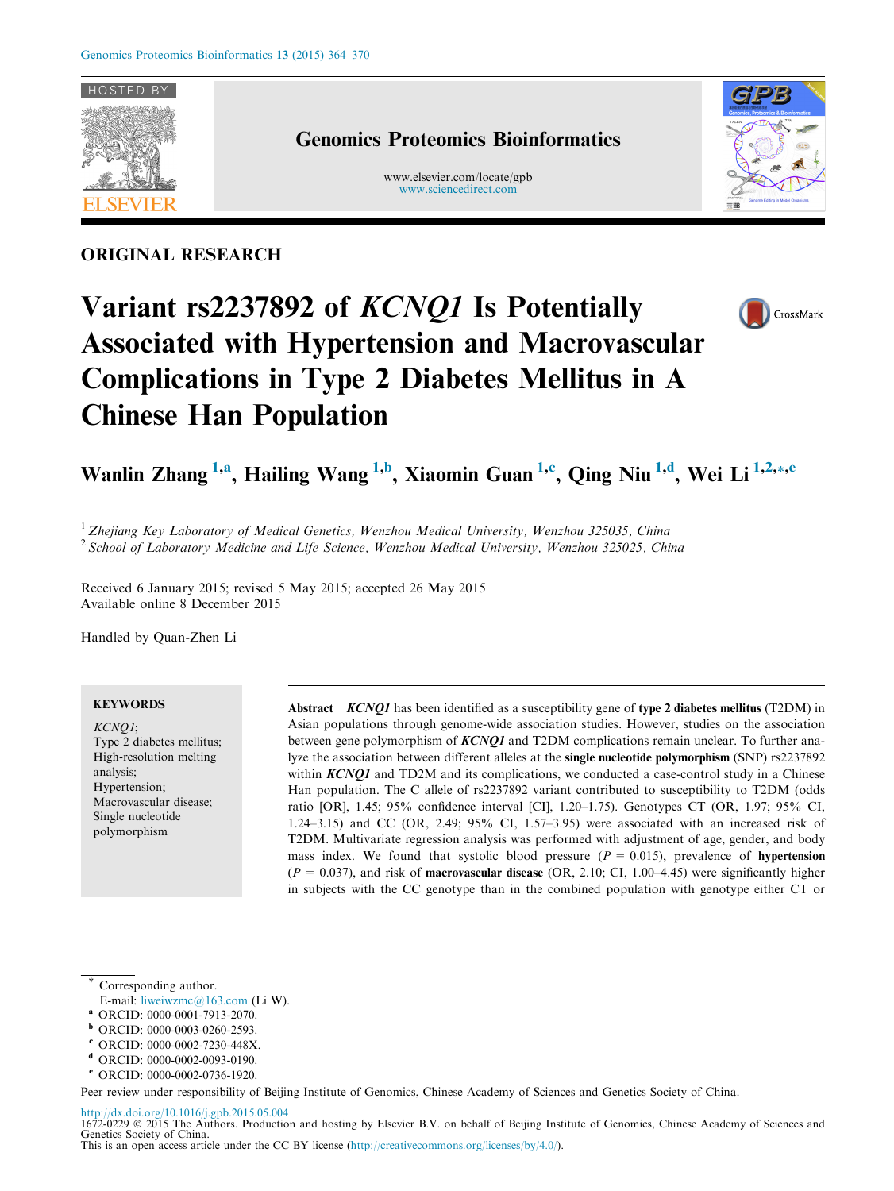

# ORIGINAL RESEARCH

# Genomics Proteomics Bioinformatics

www.elsevier.com/locate/gpb [www.sciencedirect.com](http://www.sciencedirect.com)







# Wanlin Zhang <sup>1,a</sup>, Hailing Wang <sup>1,b</sup>, Xiaomin Guan <sup>1,c</sup>, Qing Niu <sup>1,d</sup>, Wei Li <sup>1,2,</sup>\*,<sup>e</sup>

<sup>1</sup> Zhejiang Key Laboratory of Medical Genetics, Wenzhou Medical University, Wenzhou 325035, China <sup>2</sup> School of Laboratory Medicine and Life Science, Wenzhou Medical University, Wenzhou 325025, China

Received 6 January 2015; revised 5 May 2015; accepted 26 May 2015 Available online 8 December 2015

Handled by Quan-Zhen Li

# **KEYWORDS**

KCNQ1; Type 2 diabetes mellitus; High-resolution melting analysis; Hypertension; Macrovascular disease; Single nucleotide polymorphism

Abstract *KCNQ1* has been identified as a susceptibility gene of type 2 diabetes mellitus (T2DM) in Asian populations through genome-wide association studies. However, studies on the association between gene polymorphism of KCNQ1 and T2DM complications remain unclear. To further analyze the association between different alleles at the single nucleotide polymorphism (SNP) rs2237892 within  $KCNO1$  and TD2M and its complications, we conducted a case-control study in a Chinese Han population. The C allele of rs2237892 variant contributed to susceptibility to T2DM (odds ratio [OR], 1.45; 95% confidence interval [CI], 1.20–1.75). Genotypes CT (OR, 1.97; 95% CI, 1.24–3.15) and CC (OR, 2.49; 95% CI, 1.57–3.95) were associated with an increased risk of T2DM. Multivariate regression analysis was performed with adjustment of age, gender, and body mass index. We found that systolic blood pressure  $(P = 0.015)$ , prevalence of **hypertension**  $(P = 0.037)$ , and risk of **macrovascular disease** (OR, 2.10; CI, 1.00–4.45) were significantly higher in subjects with the CC genotype than in the combined population with genotype either CT or

Corresponding author.

- E-mail: [liweiwzmc@163.com](mailto:liweiwzmc@163.com) (Li W).
- <sup>a</sup> ORCID: 0000-0001-7913-2070.
- <sup>b</sup> ORCID: 0000-0003-0260-2593.
- <sup>c</sup> ORCID: 0000-0002-7230-448X.
- <sup>d</sup> ORCID: 0000-0002-0093-0190.
- <sup>e</sup> ORCID: 0000-0002-0736-1920.

Peer review under responsibility of Beijing Institute of Genomics, Chinese Academy of Sciences and Genetics Society of China.

<http://dx.doi.org/10.1016/j.gpb.2015.05.004> 1672-0229 © 2015 The Authors. Production and hosting by Elsevier B.V. on behalf of Beijing Institute of Genomics, Chinese Academy of Sciences and Genetics Society of China. This is an open access article under the CC BY license (<http://creativecommons.org/licenses/by/4.0/>).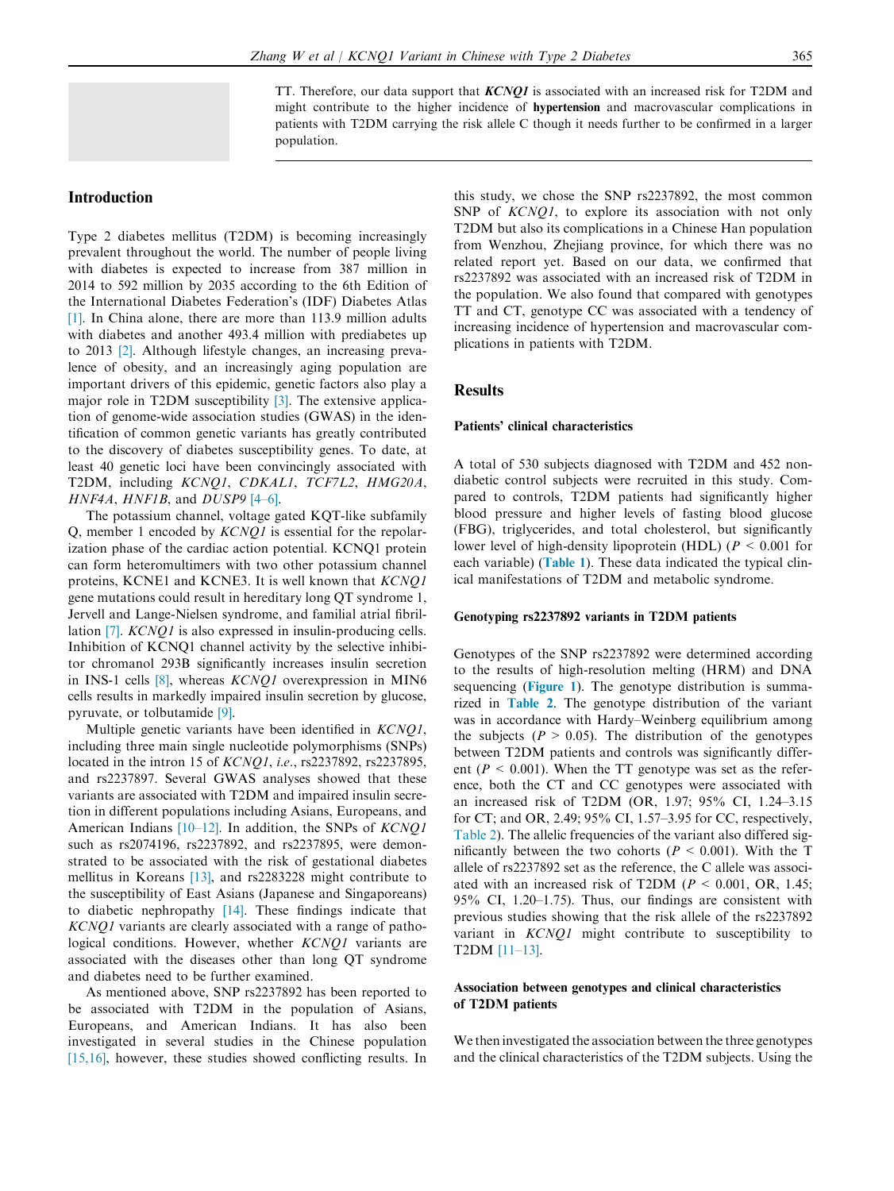TT. Therefore, our data support that  $KCNOI$  is associated with an increased risk for T2DM and might contribute to the higher incidence of hypertension and macrovascular complications in patients with T2DM carrying the risk allele C though it needs further to be confirmed in a larger population.

# Introduction

Type 2 diabetes mellitus (T2DM) is becoming increasingly prevalent throughout the world. The number of people living with diabetes is expected to increase from 387 million in 2014 to 592 million by 2035 according to the 6th Edition of the International Diabetes Federation's (IDF) Diabetes Atlas [\[1\].](#page-5-0) In China alone, there are more than 113.9 million adults with diabetes and another 493.4 million with prediabetes up to 2013 [\[2\]](#page-5-0). Although lifestyle changes, an increasing prevalence of obesity, and an increasingly aging population are important drivers of this epidemic, genetic factors also play a major role in T2DM susceptibility [\[3\]](#page-5-0). The extensive application of genome-wide association studies (GWAS) in the identification of common genetic variants has greatly contributed to the discovery of diabetes susceptibility genes. To date, at least 40 genetic loci have been convincingly associated with T2DM, including KCNQ1, CDKAL1, TCF7L2, HMG20A,  $HNF4A$ ,  $HNF1B$ , and  $DUSP9$  [\[4–6\]](#page-5-0).

The potassium channel, voltage gated KQT-like subfamily Q, member 1 encoded by KCNQ1 is essential for the repolarization phase of the cardiac action potential. KCNQ1 protein can form heteromultimers with two other potassium channel proteins, KCNE1 and KCNE3. It is well known that KCNQ1 gene mutations could result in hereditary long QT syndrome 1, Jervell and Lange-Nielsen syndrome, and familial atrial fibril-lation [\[7\].](#page-5-0) *KCNQ1* is also expressed in insulin-producing cells. Inhibition of KCNQ1 channel activity by the selective inhibitor chromanol 293B significantly increases insulin secretion in INS-1 cells [\[8\],](#page-5-0) whereas KCNQ1 overexpression in MIN6 cells results in markedly impaired insulin secretion by glucose, pyruvate, or tolbutamide [\[9\].](#page-5-0)

Multiple genetic variants have been identified in *KCNQ1*, including three main single nucleotide polymorphisms (SNPs) located in the intron 15 of KCNQ1, i.e., rs2237892, rs2237895, and rs2237897. Several GWAS analyses showed that these variants are associated with T2DM and impaired insulin secretion in different populations including Asians, Europeans, and American Indians  $[10-12]$ . In addition, the SNPs of  $KCNQ1$ such as rs2074196, rs2237892, and rs2237895, were demonstrated to be associated with the risk of gestational diabetes mellitus in Koreans [\[13\],](#page-5-0) and rs2283228 might contribute to the susceptibility of East Asians (Japanese and Singaporeans) to diabetic nephropathy [\[14\]](#page-5-0). These findings indicate that KCNQ1 variants are clearly associated with a range of pathological conditions. However, whether KCNQ1 variants are associated with the diseases other than long QT syndrome and diabetes need to be further examined.

As mentioned above, SNP rs2237892 has been reported to be associated with T2DM in the population of Asians, Europeans, and American Indians. It has also been investigated in several studies in the Chinese population [\[15,16\],](#page-5-0) however, these studies showed conflicting results. In this study, we chose the SNP rs2237892, the most common SNP of KCNQ1, to explore its association with not only T2DM but also its complications in a Chinese Han population from Wenzhou, Zhejiang province, for which there was no related report yet. Based on our data, we confirmed that rs2237892 was associated with an increased risk of T2DM in the population. We also found that compared with genotypes TT and CT, genotype CC was associated with a tendency of increasing incidence of hypertension and macrovascular complications in patients with T2DM.

## **Results**

#### Patients' clinical characteristics

A total of 530 subjects diagnosed with T2DM and 452 nondiabetic control subjects were recruited in this study. Compared to controls, T2DM patients had significantly higher blood pressure and higher levels of fasting blood glucose (FBG), triglycerides, and total cholesterol, but significantly lower level of high-density lipoprotein (HDL) ( $P < 0.001$  for each variable) ([Table 1](#page-2-0)). These data indicated the typical clinical manifestations of T2DM and metabolic syndrome.

#### Genotyping rs2237892 variants in T2DM patients

Genotypes of the SNP rs2237892 were determined according to the results of high-resolution melting (HRM) and DNA sequencing ([Figure 1](#page-2-0)). The genotype distribution is summarized in [Table 2](#page-2-0). The genotype distribution of the variant was in accordance with Hardy–Weinberg equilibrium among the subjects ( $P > 0.05$ ). The distribution of the genotypes between T2DM patients and controls was significantly different ( $P < 0.001$ ). When the TT genotype was set as the reference, both the CT and CC genotypes were associated with an increased risk of T2DM (OR, 1.97; 95% CI, 1.24–3.15 for CT; and OR, 2.49; 95% CI, 1.57–3.95 for CC, respectively, [Table 2\)](#page-2-0). The allelic frequencies of the variant also differed significantly between the two cohorts ( $P < 0.001$ ). With the T allele of rs2237892 set as the reference, the C allele was associated with an increased risk of T2DM ( $P < 0.001$ , OR, 1.45; 95% CI, 1.20–1.75). Thus, our findings are consistent with previous studies showing that the risk allele of the rs2237892 variant in KCNQ1 might contribute to susceptibility to T2DM [\[11–13\]](#page-5-0).

#### Association between genotypes and clinical characteristics of T2DM patients

We then investigated the association between the three genotypes and the clinical characteristics of the T2DM subjects. Using the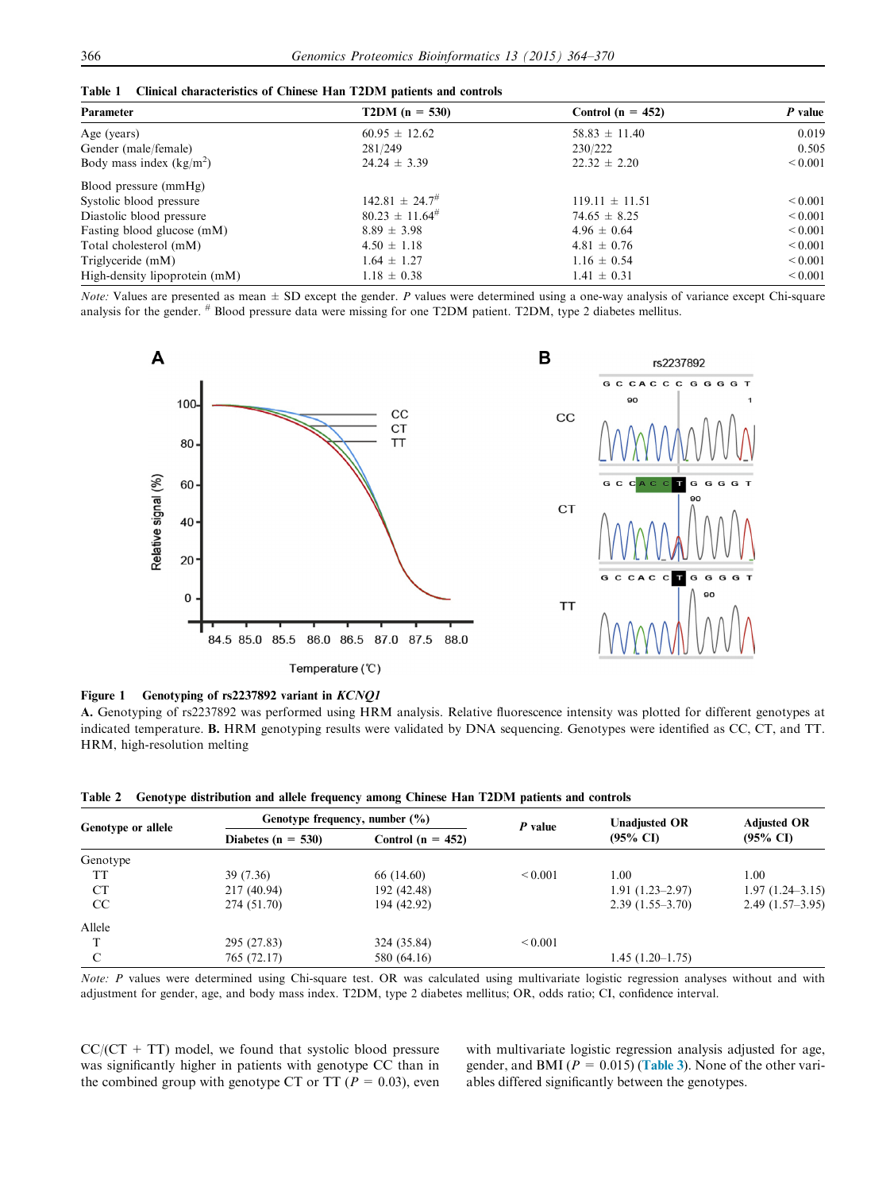<span id="page-2-0"></span>

|  |  | Table 1 Clinical characteristics of Chinese Han T2DM patients and controls |  |  |  |  |  |  |  |  |
|--|--|----------------------------------------------------------------------------|--|--|--|--|--|--|--|--|
|--|--|----------------------------------------------------------------------------|--|--|--|--|--|--|--|--|

| Parameter                     | $T2DM (n = 530)$       | Control ( $n = 452$ ) | $P$ value    |  |
|-------------------------------|------------------------|-----------------------|--------------|--|
| Age (years)                   | $60.95 \pm 12.62$      | $58.83 \pm 11.40$     | 0.019        |  |
| Gender (male/female)          | 281/249                | 230/222               | 0.505        |  |
| Body mass index $(kg/m^2)$    | $24.24 \pm 3.39$       | $22.32 \pm 2.20$      | ${}_{0.001}$ |  |
| Blood pressure (mmHg)         |                        |                       |              |  |
| Systolic blood pressure       | $142.81 \pm 24.7^{\#}$ | $119.11 \pm 11.51$    | ${}_{0.001}$ |  |
| Diastolic blood pressure      | $80.23 \pm 11.64^{\#}$ | $74.65 \pm 8.25$      | ${}_{0.001}$ |  |
| Fasting blood glucose (mM)    | $8.89 \pm 3.98$        | $4.96 \pm 0.64$       | ${}_{0.001}$ |  |
| Total cholesterol (mM)        | $4.50 \pm 1.18$        | $4.81 \pm 0.76$       | ${}_{0.001}$ |  |
| Triglyceride (mM)             | $1.64 \pm 1.27$        | $1.16 \pm 0.54$       | ${}_{0.001}$ |  |
| High-density lipoprotein (mM) | $1.18 \pm 0.38$        | $1.41 \pm 0.31$       | ${}_{0.001}$ |  |

Note: Values are presented as mean  $\pm$  SD except the gender. P values were determined using a one-way analysis of variance except Chi-square analysis for the gender. # Blood pressure data were missing for one T2DM patient. T2DM, type 2 diabetes mellitus.



Figure 1 Genotyping of rs2237892 variant in KCNQ1

A. Genotyping of rs2237892 was performed using HRM analysis. Relative fluorescence intensity was plotted for different genotypes at indicated temperature. B. HRM genotyping results were validated by DNA sequencing. Genotypes were identified as CC, CT, and TT. HRM, high-resolution melting

|  |  | Table 2 Genotype distribution and allele frequency among Chinese Han T2DM patients and controls |  |  |  |  |  |  |  |  |  |
|--|--|-------------------------------------------------------------------------------------------------|--|--|--|--|--|--|--|--|--|
|--|--|-------------------------------------------------------------------------------------------------|--|--|--|--|--|--|--|--|--|

| Genotype or allele |                        | Genotype frequency, number $(\% )$ | P value      | <b>Unadjusted OR</b> | <b>Adjusted OR</b>  |  |
|--------------------|------------------------|------------------------------------|--------------|----------------------|---------------------|--|
|                    | Diabetes ( $n = 530$ ) | Control ( $n = 452$ )              |              | $(95\% \text{ C}I)$  | $(95\% \text{ CI})$ |  |
| Genotype           |                        |                                    |              |                      |                     |  |
| TT                 | 39 (7.36)              | 66 (14.60)                         | ${}_{0.001}$ | 1.00                 | 1.00                |  |
| СT                 | 217 (40.94)            | 192 (42.48)                        |              | $1.91(1.23-2.97)$    | $1.97(1.24 - 3.15)$ |  |
| CC                 | 274 (51.70)            | 194 (42.92)                        |              | $2.39(1.55-3.70)$    | $2.49(1.57-3.95)$   |  |
| Allele             |                        |                                    |              |                      |                     |  |
|                    | 295 (27.83)            | 324 (35.84)                        | ${}_{0.001}$ |                      |                     |  |
| C                  | 765 (72.17)            | 580 (64.16)                        |              | $1.45(1.20-1.75)$    |                     |  |

Note: P values were determined using Chi-square test. OR was calculated using multivariate logistic regression analyses without and with adjustment for gender, age, and body mass index. T2DM, type 2 diabetes mellitus; OR, odds ratio; CI, confidence interval.

 $CC/(CT + TT)$  model, we found that systolic blood pressure was significantly higher in patients with genotype CC than in the combined group with genotype CT or TT ( $P = 0.03$ ), even with multivariate logistic regression analysis adjusted for age, gender, and BMI ( $P = 0.015$ ) ([Table 3](#page-3-0)). None of the other variables differed significantly between the genotypes.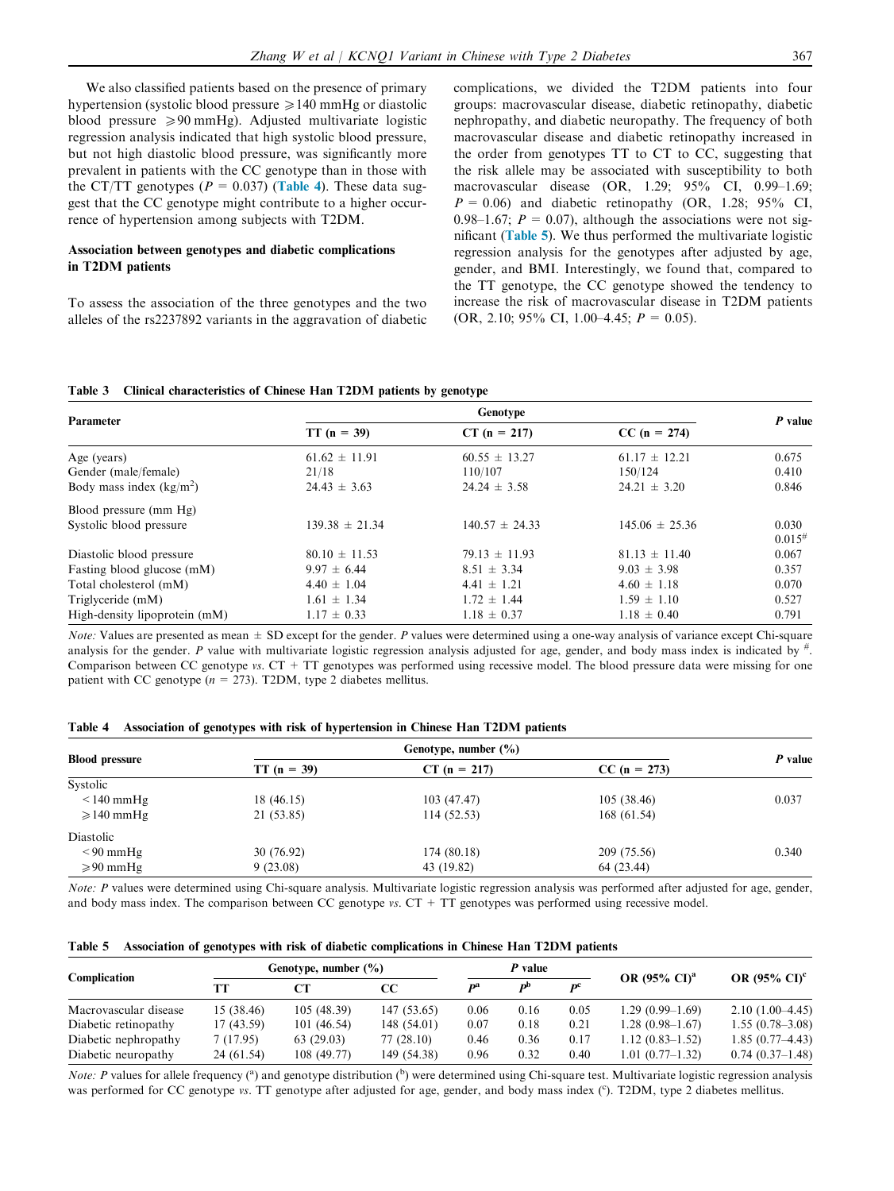<span id="page-3-0"></span>We also classified patients based on the presence of primary hypertension (systolic blood pressure  $\geq 140$  mmHg or diastolic blood pressure  $\geq 90$  mmHg). Adjusted multivariate logistic regression analysis indicated that high systolic blood pressure, but not high diastolic blood pressure, was significantly more prevalent in patients with the CC genotype than in those with the CT/TT genotypes ( $P = 0.037$ ) (Table 4). These data suggest that the CC genotype might contribute to a higher occurrence of hypertension among subjects with T2DM.

#### Association between genotypes and diabetic complications in T2DM patients

To assess the association of the three genotypes and the two alleles of the rs2237892 variants in the aggravation of diabetic complications, we divided the T2DM patients into four groups: macrovascular disease, diabetic retinopathy, diabetic nephropathy, and diabetic neuropathy. The frequency of both macrovascular disease and diabetic retinopathy increased in the order from genotypes TT to CT to CC, suggesting that the risk allele may be associated with susceptibility to both macrovascular disease (OR, 1.29; 95% CI, 0.99–1.69;  $P = 0.06$ ) and diabetic retinopathy (OR, 1.28; 95% CI, 0.98–1.67;  $P = 0.07$ , although the associations were not significant (Table 5). We thus performed the multivariate logistic regression analysis for the genotypes after adjusted by age, gender, and BMI. Interestingly, we found that, compared to the TT genotype, the CC genotype showed the tendency to increase the risk of macrovascular disease in T2DM patients (OR, 2.10; 95% CI, 1.00–4.45;  $P = 0.05$ ).

|  | Table 3 Clinical characteristics of Chinese Han T2DM patients by genotype |  |  |  |  |  |
|--|---------------------------------------------------------------------------|--|--|--|--|--|
|--|---------------------------------------------------------------------------|--|--|--|--|--|

| Parameter                     | Genotype           |                    |                    |             |  |  |  |
|-------------------------------|--------------------|--------------------|--------------------|-------------|--|--|--|
|                               | $TT (n = 39)$      | $CT (n = 217)$     | $CC (n = 274)$     | $P$ value   |  |  |  |
| Age (years)                   | $61.62 \pm 11.91$  | $60.55 \pm 13.27$  | $61.17 \pm 12.21$  | 0.675       |  |  |  |
| Gender (male/female)          | 21/18              | 110/107            | 150/124            | 0.410       |  |  |  |
| Body mass index $(kg/m2)$     | $24.43 \pm 3.63$   | $24.24 \pm 3.58$   | $24.21 \pm 3.20$   | 0.846       |  |  |  |
| Blood pressure (mm Hg)        |                    |                    |                    |             |  |  |  |
| Systolic blood pressure       | $139.38 \pm 21.34$ | $140.57 \pm 24.33$ | $145.06 \pm 25.36$ | 0.030       |  |  |  |
|                               |                    |                    |                    | $0.015^{#}$ |  |  |  |
| Diastolic blood pressure      | $80.10 \pm 11.53$  | $79.13 \pm 11.93$  | $81.13 \pm 11.40$  | 0.067       |  |  |  |
| Fasting blood glucose (mM)    | $9.97 \pm 6.44$    | $8.51 \pm 3.34$    | $9.03 \pm 3.98$    | 0.357       |  |  |  |
| Total cholesterol (mM)        | $4.40 \pm 1.04$    | $4.41 \pm 1.21$    | $4.60 \pm 1.18$    | 0.070       |  |  |  |
| Triglyceride (mM)             | $1.61 \pm 1.34$    | $1.72 \pm 1.44$    | $1.59 \pm 1.10$    | 0.527       |  |  |  |
| High-density lipoprotein (mM) | $1.17 \pm 0.33$    | $1.18 \pm 0.37$    | $1.18 \pm 0.40$    | 0.791       |  |  |  |

*Note:* Values are presented as mean  $\pm$  SD except for the gender. P values were determined using a one-way analysis of variance except Chi-square analysis for the gender. P value with multivariate logistic regression analysis adjusted for age, gender, and body mass index is indicated by  $#$ . Comparison between CC genotype vs. CT + TT genotypes was performed using recessive model. The blood pressure data were missing for one patient with CC genotype ( $n = 273$ ). T2DM, type 2 diabetes mellitus.

|  | Table 4 Association of genotypes with risk of hypertension in Chinese Han T2DM patients |  |  |  |  |  |  |  |  |
|--|-----------------------------------------------------------------------------------------|--|--|--|--|--|--|--|--|
|--|-----------------------------------------------------------------------------------------|--|--|--|--|--|--|--|--|

| <b>Blood pressure</b> | $TT (n = 39)$ | $CT (n = 217)$ | $CC (n = 273)$ | P value |
|-----------------------|---------------|----------------|----------------|---------|
| Systolic              |               |                |                |         |
| $\leq$ 140 mmHg       | 18 (46.15)    | 103 (47.47)    | 105(38.46)     | 0.037   |
| $\geqslant$ 140 mmHg  | 21 (53.85)    | 114(52.53)     | 168(61.54)     |         |
| Diastolic             |               |                |                |         |
| $\leq 90$ mmHg        | 30 (76.92)    | 174 (80.18)    | 209 (75.56)    | 0.340   |
| $\geqslant 90$ mmHg   | 9(23.08)      | 43 (19.82)     | 64 (23.44)     |         |

Note: P values were determined using Chi-square analysis. Multivariate logistic regression analysis was performed after adjusted for age, gender, and body mass index. The comparison between CC genotype  $vs.$  CT + TT genotypes was performed using recessive model.

|  |  |  |  |  |  | Table 5 Association of genotypes with risk of diabetic complications in Chinese Han T2DM patients |  |  |  |
|--|--|--|--|--|--|---------------------------------------------------------------------------------------------------|--|--|--|
|--|--|--|--|--|--|---------------------------------------------------------------------------------------------------|--|--|--|

| Complication          | Genotype, number $(\%)$ |            | P value     |      |                           |                           |                                   |                                   |
|-----------------------|-------------------------|------------|-------------|------|---------------------------|---------------------------|-----------------------------------|-----------------------------------|
|                       | TТ                      | CТ         | CС          | Da   | $\mathbf{p}^{\mathrm{b}}$ | $\mathbf{p}^{\mathrm{c}}$ | OR $(95\% \text{ CI})^{\text{a}}$ | OR $(95\% \text{ CI})^{\text{c}}$ |
| Macrovascular disease | 15 (38.46)              | 105(48.39) | 147 (53.65) | 0.06 | 0.16                      | 0.05                      | $1.29(0.99-1.69)$                 | $2.10(1.00-4.45)$                 |
| Diabetic retinopathy  | 17 (43.59)              | 101(46.54) | 148 (54.01) | 0.07 | 0.18                      | 0.21                      | $1.28(0.98-1.67)$                 | $1.55(0.78-3.08)$                 |
| Diabetic nephropathy  | 7(17.95)                | 63(29.03)  | 77 (28.10)  | 0.46 | 0.36                      | 0.17                      | $1.12(0.83 - 1.52)$               | $1.85(0.77-4.43)$                 |
| Diabetic neuropathy   | 24 (61.54)              | 108(49.77) | 149 (54.38) | 0.96 | 0.32                      | 0.40                      | $1.01(0.77-1.32)$                 | $0.74(0.37-1.48)$                 |

*Note: P* values for allele frequency (<sup>a</sup>) and genotype distribution (<sup>b</sup>) were determined using Chi-square test. Multivariate logistic regression analysis was performed for CC genotype vs. TT genotype after adjusted for age, gender, and body mass index (°). T2DM, type 2 diabetes mellitus.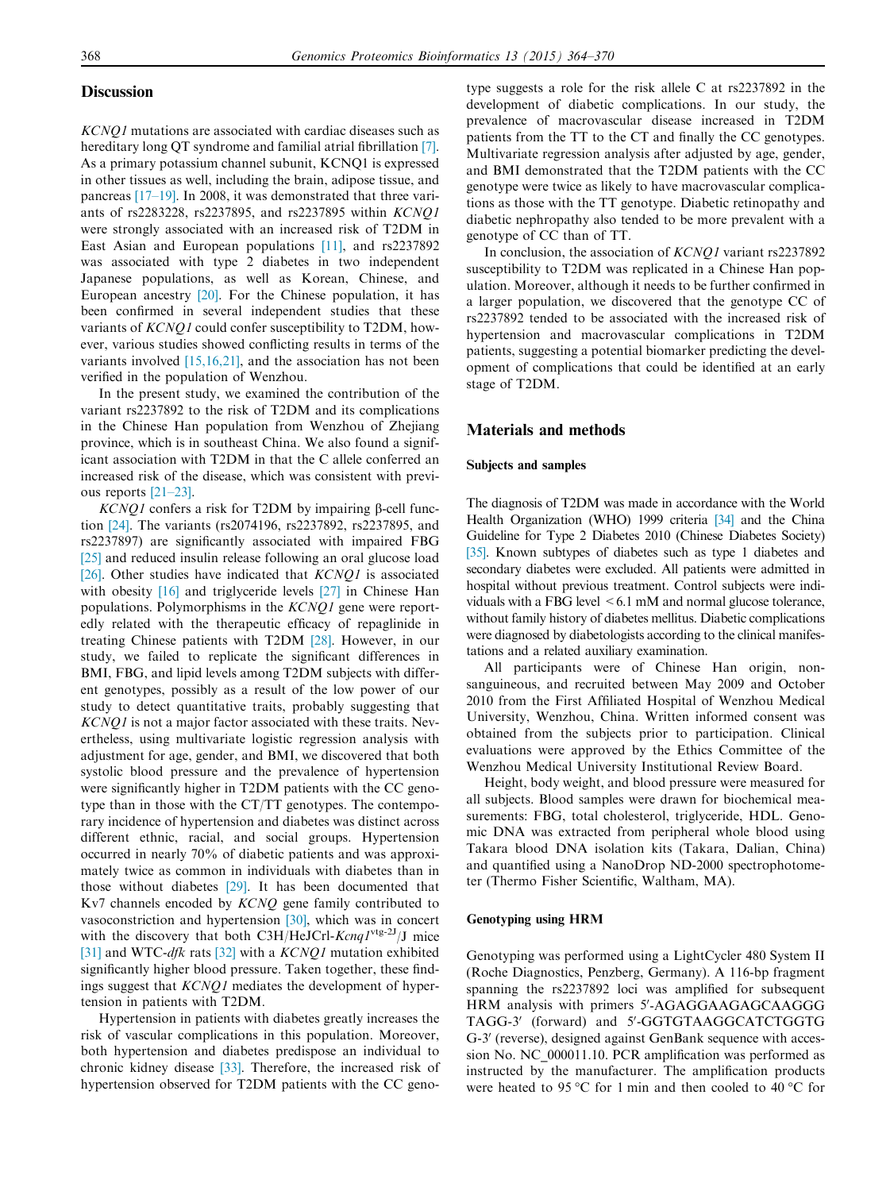#### **Discussion**

KCNQ1 mutations are associated with cardiac diseases such as hereditary long QT syndrome and familial atrial fibrillation [\[7\]](#page-5-0). As a primary potassium channel subunit, KCNQ1 is expressed in other tissues as well, including the brain, adipose tissue, and pancreas [\[17–19\]](#page-6-0). In 2008, it was demonstrated that three variants of rs2283228, rs2237895, and rs2237895 within KCNQ1 were strongly associated with an increased risk of T2DM in East Asian and European populations [\[11\]](#page-5-0), and rs2237892 was associated with type 2 diabetes in two independent Japanese populations, as well as Korean, Chinese, and European ancestry [\[20\].](#page-6-0) For the Chinese population, it has been confirmed in several independent studies that these variants of KCNQ1 could confer susceptibility to T2DM, however, various studies showed conflicting results in terms of the variants involved [\[15,16,21\],](#page-5-0) and the association has not been verified in the population of Wenzhou.

In the present study, we examined the contribution of the variant rs2237892 to the risk of T2DM and its complications in the Chinese Han population from Wenzhou of Zhejiang province, which is in southeast China. We also found a significant association with T2DM in that the C allele conferred an increased risk of the disease, which was consistent with previous reports [\[21–23\].](#page-6-0)

 $KCNQI$  confers a risk for T2DM by impairing  $\beta$ -cell function [\[24\]](#page-6-0). The variants (rs2074196, rs2237892, rs2237895, and rs2237897) are significantly associated with impaired FBG [\[25\]](#page-6-0) and reduced insulin release following an oral glucose load [\[26\].](#page-6-0) Other studies have indicated that  $KCNQ1$  is associated with obesity [\[16\]](#page-5-0) and triglyceride levels [\[27\]](#page-6-0) in Chinese Han populations. Polymorphisms in the KCNQ1 gene were reportedly related with the therapeutic efficacy of repaglinide in treating Chinese patients with T2DM [\[28\].](#page-6-0) However, in our study, we failed to replicate the significant differences in BMI, FBG, and lipid levels among T2DM subjects with different genotypes, possibly as a result of the low power of our study to detect quantitative traits, probably suggesting that KCNQ1 is not a major factor associated with these traits. Nevertheless, using multivariate logistic regression analysis with adjustment for age, gender, and BMI, we discovered that both systolic blood pressure and the prevalence of hypertension were significantly higher in T2DM patients with the CC genotype than in those with the CT/TT genotypes. The contemporary incidence of hypertension and diabetes was distinct across different ethnic, racial, and social groups. Hypertension occurred in nearly 70% of diabetic patients and was approximately twice as common in individuals with diabetes than in those without diabetes [\[29\].](#page-6-0) It has been documented that Kv7 channels encoded by KCNQ gene family contributed to vasoconstriction and hypertension [\[30\]](#page-6-0), which was in concert with the discovery that both C3H/HeJCrl-Kcnq1<sup>vtg-2J</sup>/J mice [\[31\]](#page-6-0) and WTC-dfk rats [\[32\]](#page-6-0) with a KCNQ1 mutation exhibited significantly higher blood pressure. Taken together, these findings suggest that KCNQ1 mediates the development of hypertension in patients with T2DM.

Hypertension in patients with diabetes greatly increases the risk of vascular complications in this population. Moreover, both hypertension and diabetes predispose an individual to chronic kidney disease [\[33\].](#page-6-0) Therefore, the increased risk of hypertension observed for T2DM patients with the CC genotype suggests a role for the risk allele C at rs2237892 in the development of diabetic complications. In our study, the prevalence of macrovascular disease increased in T2DM patients from the TT to the CT and finally the CC genotypes. Multivariate regression analysis after adjusted by age, gender, and BMI demonstrated that the T2DM patients with the CC genotype were twice as likely to have macrovascular complications as those with the TT genotype. Diabetic retinopathy and diabetic nephropathy also tended to be more prevalent with a genotype of CC than of TT.

In conclusion, the association of KCNQ1 variant rs2237892 susceptibility to T2DM was replicated in a Chinese Han population. Moreover, although it needs to be further confirmed in a larger population, we discovered that the genotype CC of rs2237892 tended to be associated with the increased risk of hypertension and macrovascular complications in T2DM patients, suggesting a potential biomarker predicting the development of complications that could be identified at an early stage of T2DM.

# Materials and methods

#### Subjects and samples

The diagnosis of T2DM was made in accordance with the World Health Organization (WHO) 1999 criteria [\[34\]](#page-6-0) and the China Guideline for Type 2 Diabetes 2010 (Chinese Diabetes Society) [\[35\].](#page-6-0) Known subtypes of diabetes such as type 1 diabetes and secondary diabetes were excluded. All patients were admitted in hospital without previous treatment. Control subjects were individuals with a FBG level  $\leq 6.1$  mM and normal glucose tolerance, without family history of diabetes mellitus. Diabetic complications were diagnosed by diabetologists according to the clinical manifestations and a related auxiliary examination.

All participants were of Chinese Han origin, nonsanguineous, and recruited between May 2009 and October 2010 from the First Affiliated Hospital of Wenzhou Medical University, Wenzhou, China. Written informed consent was obtained from the subjects prior to participation. Clinical evaluations were approved by the Ethics Committee of the Wenzhou Medical University Institutional Review Board.

Height, body weight, and blood pressure were measured for all subjects. Blood samples were drawn for biochemical measurements: FBG, total cholesterol, triglyceride, HDL. Genomic DNA was extracted from peripheral whole blood using Takara blood DNA isolation kits (Takara, Dalian, China) and quantified using a NanoDrop ND-2000 spectrophotometer (Thermo Fisher Scientific, Waltham, MA).

#### Genotyping using HRM

Genotyping was performed using a LightCycler 480 System II (Roche Diagnostics, Penzberg, Germany). A 116-bp fragment spanning the rs2237892 loci was amplified for subsequent HRM analysis with primers 5'-AGAGGAAGAGCAAGGG TAGG-3' (forward) and 5'-GGTGTAAGGCATCTGGTG G-3' (reverse), designed against GenBank sequence with accession No. NC\_000011.10. PCR amplification was performed as instructed by the manufacturer. The amplification products were heated to 95 °C for 1 min and then cooled to 40 °C for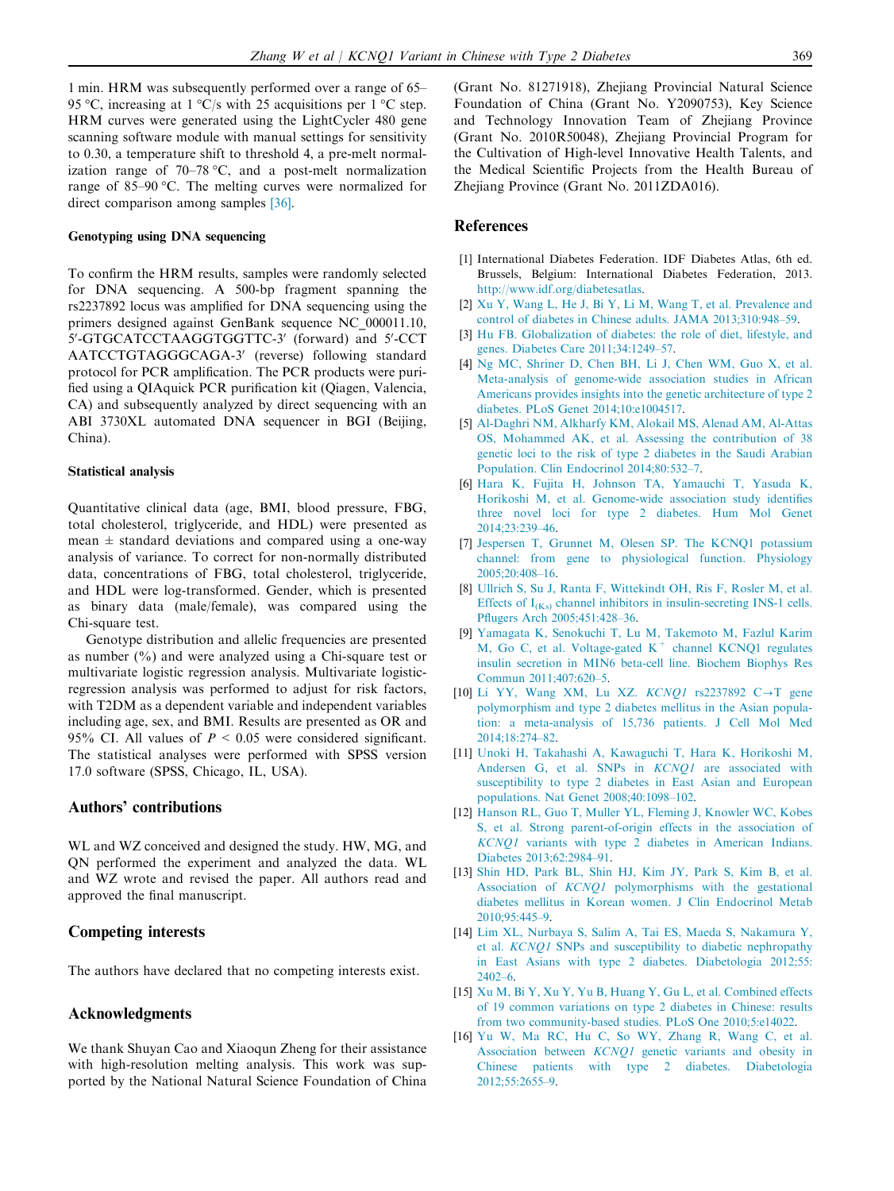<span id="page-5-0"></span>1 min. HRM was subsequently performed over a range of 65– 95 °C, increasing at  $1 \text{ }^{\circ}C/\text{s}$  with 25 acquisitions per  $1 \text{ }^{\circ}C$  step. HRM curves were generated using the LightCycler 480 gene scanning software module with manual settings for sensitivity to 0.30, a temperature shift to threshold 4, a pre-melt normalization range of  $70-78$  °C, and a post-melt normalization range of  $85-90$  °C. The melting curves were normalized for direct comparison among samples [\[36\]](#page-6-0).

#### Genotyping using DNA sequencing

To confirm the HRM results, samples were randomly selected for DNA sequencing. A 500-bp fragment spanning the rs2237892 locus was amplified for DNA sequencing using the primers designed against GenBank sequence NC\_000011.10, 5'-GTGCATCCTAAGGTGGTTC-3' (forward) and 5'-CCT AATCCTGTAGGGCAGA-3' (reverse) following standard protocol for PCR amplification. The PCR products were purified using a QIAquick PCR purification kit (Qiagen, Valencia, CA) and subsequently analyzed by direct sequencing with an ABI 3730XL automated DNA sequencer in BGI (Beijing, China).

#### Statistical analysis

Quantitative clinical data (age, BMI, blood pressure, FBG, total cholesterol, triglyceride, and HDL) were presented as mean  $\pm$  standard deviations and compared using a one-way analysis of variance. To correct for non-normally distributed data, concentrations of FBG, total cholesterol, triglyceride, and HDL were log-transformed. Gender, which is presented as binary data (male/female), was compared using the Chi-square test.

Genotype distribution and allelic frequencies are presented as number (%) and were analyzed using a Chi-square test or multivariate logistic regression analysis. Multivariate logisticregression analysis was performed to adjust for risk factors, with T2DM as a dependent variable and independent variables including age, sex, and BMI. Results are presented as OR and 95% CI. All values of  $P \le 0.05$  were considered significant. The statistical analyses were performed with SPSS version 17.0 software (SPSS, Chicago, IL, USA).

### Authors' contributions

WL and WZ conceived and designed the study. HW, MG, and QN performed the experiment and analyzed the data. WL and WZ wrote and revised the paper. All authors read and approved the final manuscript.

## Competing interests

The authors have declared that no competing interests exist.

#### Acknowledgments

We thank Shuyan Cao and Xiaoqun Zheng for their assistance with high-resolution melting analysis. This work was supported by the National Natural Science Foundation of China (Grant No. 81271918), Zhejiang Provincial Natural Science Foundation of China (Grant No. Y2090753), Key Science and Technology Innovation Team of Zhejiang Province (Grant No. 2010R50048), Zhejiang Provincial Program for the Cultivation of High-level Innovative Health Talents, and the Medical Scientific Projects from the Health Bureau of Zhejiang Province (Grant No. 2011ZDA016).

# References

- [1] International Diabetes Federation. IDF Diabetes Atlas, 6th ed. Brussels, Belgium: International Diabetes Federation, 2013. [http://www.idf.org/diabetesatlas.](http://www.idf.org/diabetesatlas)
- [2] [Xu Y, Wang L, He J, Bi Y, Li M, Wang T, et al. Prevalence and](http://refhub.elsevier.com/S1672-0229(15)00143-6/h0010) [control of diabetes in Chinese adults. JAMA 2013;310:948–59](http://refhub.elsevier.com/S1672-0229(15)00143-6/h0010).
- [3] [Hu FB. Globalization of diabetes: the role of diet, lifestyle, and](http://refhub.elsevier.com/S1672-0229(15)00143-6/h0015) [genes. Diabetes Care 2011;34:1249–57](http://refhub.elsevier.com/S1672-0229(15)00143-6/h0015).
- [4] [Ng MC, Shriner D, Chen BH, Li J, Chen WM, Guo X, et al.](http://refhub.elsevier.com/S1672-0229(15)00143-6/h0020) [Meta-analysis of genome-wide association studies in African](http://refhub.elsevier.com/S1672-0229(15)00143-6/h0020) [Americans provides insights into the genetic architecture of type 2](http://refhub.elsevier.com/S1672-0229(15)00143-6/h0020) [diabetes. PLoS Genet 2014;10:e1004517.](http://refhub.elsevier.com/S1672-0229(15)00143-6/h0020)
- [5] [Al-Daghri NM, Alkharfy KM, Alokail MS, Alenad AM, Al-Attas](http://refhub.elsevier.com/S1672-0229(15)00143-6/h0025) [OS, Mohammed AK, et al. Assessing the contribution of 38](http://refhub.elsevier.com/S1672-0229(15)00143-6/h0025) [genetic loci to the risk of type 2 diabetes in the Saudi Arabian](http://refhub.elsevier.com/S1672-0229(15)00143-6/h0025) [Population. Clin Endocrinol 2014;80:532–7](http://refhub.elsevier.com/S1672-0229(15)00143-6/h0025).
- [6] [Hara K, Fujita H, Johnson TA, Yamauchi T, Yasuda K,](http://refhub.elsevier.com/S1672-0229(15)00143-6/h0030) [Horikoshi M, et al. Genome-wide association study identifies](http://refhub.elsevier.com/S1672-0229(15)00143-6/h0030) [three novel loci for type 2 diabetes. Hum Mol Genet](http://refhub.elsevier.com/S1672-0229(15)00143-6/h0030) [2014;23:239–46.](http://refhub.elsevier.com/S1672-0229(15)00143-6/h0030)
- [7] [Jespersen T, Grunnet M, Olesen SP. The KCNQ1 potassium](http://refhub.elsevier.com/S1672-0229(15)00143-6/h0035) [channel: from gene to physiological function. Physiology](http://refhub.elsevier.com/S1672-0229(15)00143-6/h0035) [2005;20:408–16.](http://refhub.elsevier.com/S1672-0229(15)00143-6/h0035)
- [8] [Ullrich S, Su J, Ranta F, Wittekindt OH, Ris F, Rosler M, et al.](http://refhub.elsevier.com/S1672-0229(15)00143-6/h0040) Effects of  $I_{(Ks)}$  [channel inhibitors in insulin-secreting INS-1 cells.](http://refhub.elsevier.com/S1672-0229(15)00143-6/h0040) [Pflugers Arch 2005;451:428–36](http://refhub.elsevier.com/S1672-0229(15)00143-6/h0040).
- [9] [Yamagata K, Senokuchi T, Lu M, Takemoto M, Fazlul Karim](http://refhub.elsevier.com/S1672-0229(15)00143-6/h0045) [M,](http://refhub.elsevier.com/S1672-0229(15)00143-6/h0045) [Go](http://refhub.elsevier.com/S1672-0229(15)00143-6/h0045) [C,](http://refhub.elsevier.com/S1672-0229(15)00143-6/h0045) [et](http://refhub.elsevier.com/S1672-0229(15)00143-6/h0045) [al.](http://refhub.elsevier.com/S1672-0229(15)00143-6/h0045) [Voltage-gated](http://refhub.elsevier.com/S1672-0229(15)00143-6/h0045)  $K^+$  [channel KCNQ1 regulates](http://refhub.elsevier.com/S1672-0229(15)00143-6/h0045) [insulin secretion in MIN6 beta-cell line. Biochem Biophys Res](http://refhub.elsevier.com/S1672-0229(15)00143-6/h0045) [Commun 2011;407:620–5.](http://refhub.elsevier.com/S1672-0229(15)00143-6/h0045)
- [10] [Li YY, Wang XM, Lu XZ.](http://refhub.elsevier.com/S1672-0229(15)00143-6/h0050)  $KCNQ1$  rs2237892 C $\rightarrow$ T gene [polymorphism and type 2 diabetes mellitus in the Asian popula](http://refhub.elsevier.com/S1672-0229(15)00143-6/h0050)[tion: a meta-analysis of 15,736 patients. J Cell Mol Med](http://refhub.elsevier.com/S1672-0229(15)00143-6/h0050) [2014;18:274–82.](http://refhub.elsevier.com/S1672-0229(15)00143-6/h0050)
- [11] [Unoki H, Takahashi A, Kawaguchi T, Hara K, Horikoshi M,](http://refhub.elsevier.com/S1672-0229(15)00143-6/h0055) [Andersen G, et al. SNPs in](http://refhub.elsevier.com/S1672-0229(15)00143-6/h0055) KCNQ1 are associated with [susceptibility to type 2 diabetes in East Asian and European](http://refhub.elsevier.com/S1672-0229(15)00143-6/h0055) [populations. Nat Genet 2008;40:1098–102](http://refhub.elsevier.com/S1672-0229(15)00143-6/h0055).
- [12] [Hanson RL, Guo T, Muller YL, Fleming J, Knowler WC, Kobes](http://refhub.elsevier.com/S1672-0229(15)00143-6/h0060) [S, et al. Strong parent-of-origin effects in the association of](http://refhub.elsevier.com/S1672-0229(15)00143-6/h0060) KCNQ1 [variants with type 2 diabetes in American Indians.](http://refhub.elsevier.com/S1672-0229(15)00143-6/h0060) [Diabetes 2013;62:2984–91](http://refhub.elsevier.com/S1672-0229(15)00143-6/h0060).
- [13] [Shin HD, Park BL, Shin HJ, Kim JY, Park S, Kim B, et al.](http://refhub.elsevier.com/S1672-0229(15)00143-6/h0065) Association of KCNQ1 [polymorphisms with the gestational](http://refhub.elsevier.com/S1672-0229(15)00143-6/h0065) [diabetes mellitus in Korean women. J Clin Endocrinol Metab](http://refhub.elsevier.com/S1672-0229(15)00143-6/h0065) [2010;95:445–9](http://refhub.elsevier.com/S1672-0229(15)00143-6/h0065).
- [14] [Lim XL, Nurbaya S, Salim A, Tai ES, Maeda S, Nakamura Y,](http://refhub.elsevier.com/S1672-0229(15)00143-6/h0070) et al. KCNQ1 [SNPs and susceptibility to diabetic nephropathy](http://refhub.elsevier.com/S1672-0229(15)00143-6/h0070) [in East Asians with type 2 diabetes. Diabetologia 2012;55:](http://refhub.elsevier.com/S1672-0229(15)00143-6/h0070) [2402–6.](http://refhub.elsevier.com/S1672-0229(15)00143-6/h0070)
- [15] [Xu M, Bi Y, Xu Y, Yu B, Huang Y, Gu L, et al. Combined effects](http://refhub.elsevier.com/S1672-0229(15)00143-6/h0075) [of 19 common variations on type 2 diabetes in Chinese: results](http://refhub.elsevier.com/S1672-0229(15)00143-6/h0075) [from two community-based studies. PLoS One 2010;5:e14022](http://refhub.elsevier.com/S1672-0229(15)00143-6/h0075).
- [16] [Yu W, Ma RC, Hu C, So WY, Zhang R, Wang C, et al.](http://refhub.elsevier.com/S1672-0229(15)00143-6/h0080) Association between KCNQ1 [genetic variants and obesity in](http://refhub.elsevier.com/S1672-0229(15)00143-6/h0080) [Chinese patients with type 2 diabetes. Diabetologia](http://refhub.elsevier.com/S1672-0229(15)00143-6/h0080) [2012;55:2655–9.](http://refhub.elsevier.com/S1672-0229(15)00143-6/h0080)